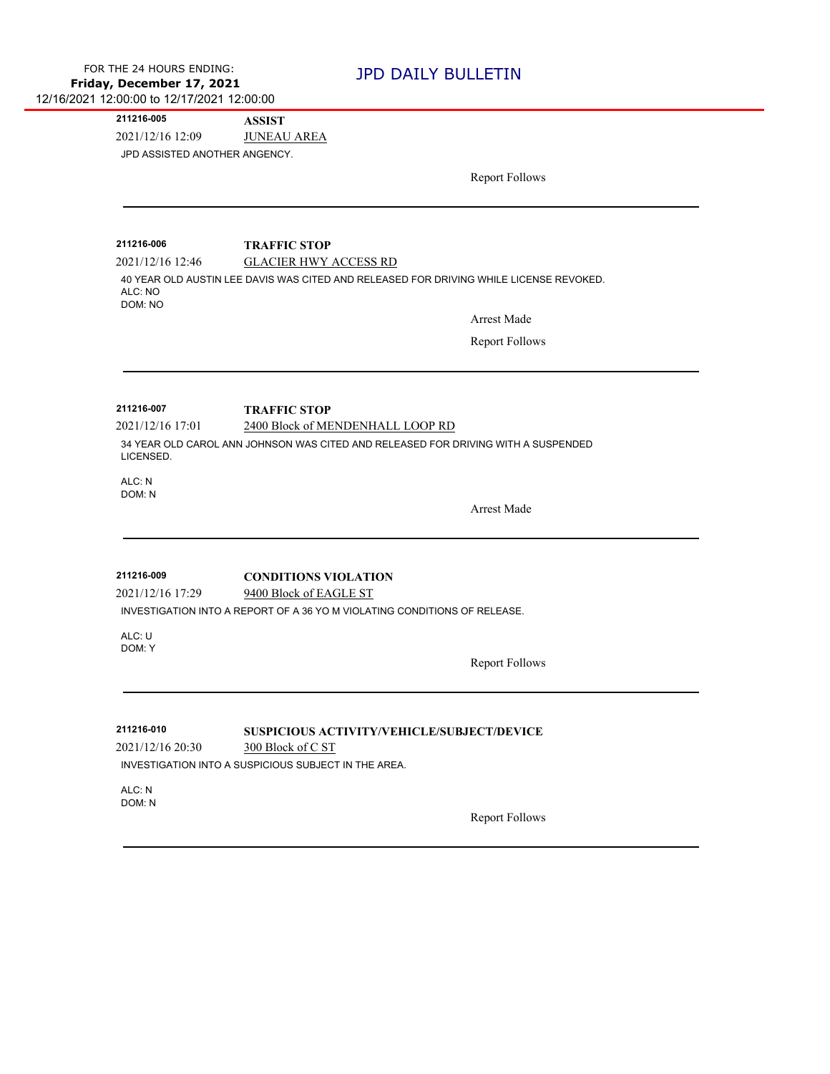| FOR THE 24 HOURS ENDING:                   |
|--------------------------------------------|
| Friday, December 17, 2021                  |
| 12/16/2021 12:00:00 to 12/17/2021 12:00:00 |

## **JPD DAILY BULLETIN**

2021/12/16 12:09 JUNEAU AREA **211216-005 ASSIST** JPD ASSISTED ANOTHER ANGENCY.

Report Follows

**211216-006 TRAFFIC STOP**

2021/12/16 12:46 GLACIER HWY ACCESS RD

40 YEAR OLD AUSTIN LEE DAVIS WAS CITED AND RELEASED FOR DRIVING WHILE LICENSE REVOKED. ALC: NO DOM: NO

Arrest Made

Report Follows

**211216-007 TRAFFIC STOP**

2021/12/16 17:01 2400 Block of MENDENHALL LOOP RD

34 YEAR OLD CAROL ANN JOHNSON WAS CITED AND RELEASED FOR DRIVING WITH A SUSPENDED LICENSED.

ALC: N DOM: N

Arrest Made

2021/12/16 17:29 9400 Block of EAGLE ST **211216-009 CONDITIONS VIOLATION**

INVESTIGATION INTO A REPORT OF A 36 YO M VIOLATING CONDITIONS OF RELEASE.

ALC: U DOM: Y

Report Follows

**211216-010 SUSPICIOUS ACTIVITY/VEHICLE/SUBJECT/DEVICE**

2021/12/16 20:30 300 Block of C ST INVESTIGATION INTO A SUSPICIOUS SUBJECT IN THE AREA.

ALC: N DOM: N

Report Follows